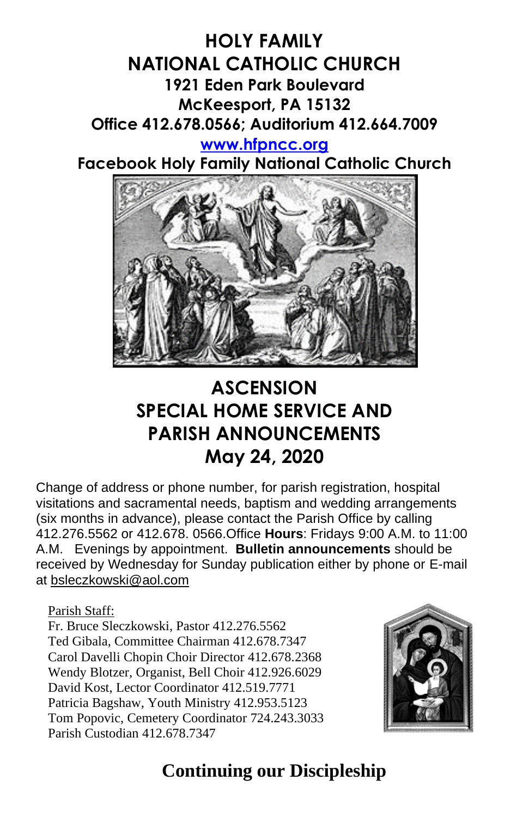### **HOLY FAMILY NATIONAL CATHOLIC CHURCH 1921 Eden Park Boulevard McKeesport, PA 15132 Office 412.678.0566; Auditorium 412.664.7009 [www.hfpncc.org](http://www.hfpncc.org/)**

**Facebook Holy Family National Catholic Church**



# **ASCENSION SPECIAL HOME SERVICE AND PARISH ANNOUNCEMENTS May 24, 2020**

Change of address or phone number, for parish registration, hospital visitations and sacramental needs, baptism and wedding arrangements (six months in advance), please contact the Parish Office by calling 412.276.5562 or 412.678. 0566.Office **Hours**: Fridays 9:00 A.M. to 11:00 A.M. Evenings by appointment. **Bulletin announcements** should be received by Wednesday for Sunday publication either by phone or E-mail at [bsleczkowski@aol.com](mailto:bsleczkowski@aol.com)

Parish Staff:

Fr. Bruce Sleczkowski, Pastor 412.276.5562 Ted Gibala, Committee Chairman 412.678.7347 Carol Davelli Chopin Choir Director 412.678.2368 Wendy Blotzer, Organist, Bell Choir 412.926.6029 David Kost, Lector Coordinator 412.519.7771 Patricia Bagshaw, Youth Ministry 412.953.5123 Tom Popovic, Cemetery Coordinator 724.243.3033 Parish Custodian 412.678.7347



# **Continuing our Discipleship**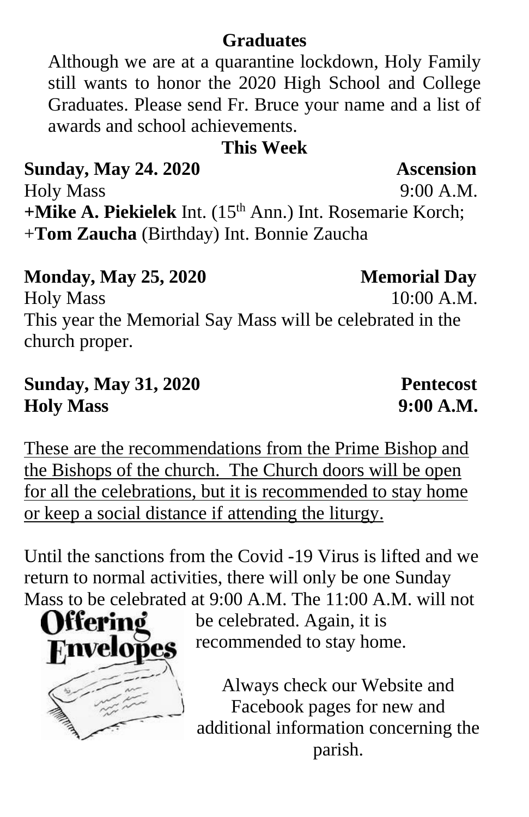### **Graduates**

Although we are at a quarantine lockdown, Holy Family still wants to honor the 2020 High School and College Graduates. Please send Fr. Bruce your name and a list of awards and school achievements.

### **This Week**

# **Sunday, May 24. 2020 Ascension**

Holy Mass 9:00 A.M. **+Mike A. Piekielek** Int. (15th Ann.) Int. Rosemarie Korch; +**Tom Zaucha** (Birthday) Int. Bonnie Zaucha

### **Monday, May 25, 2020 Memorial Day**

Holy Mass 10:00 A.M. This year the Memorial Say Mass will be celebrated in the church proper.

## **Sunday, May 31, 2020 Pentecost Holy Mass 9:00 A.M.**

These are the recommendations from the Prime Bishop and the Bishops of the church. The Church doors will be open for all the celebrations, but it is recommended to stay home or keep a social distance if attending the liturgy.

Until the sanctions from the Covid -19 Virus is lifted and we return to normal activities, there will only be one Sunday Mass to be celebrated at 9:00 A.M. The 11:00 A.M. will not

**Offering Finve** 

be celebrated. Again, it is recommended to stay home.

Always check our Website and Facebook pages for new and additional information concerning the parish.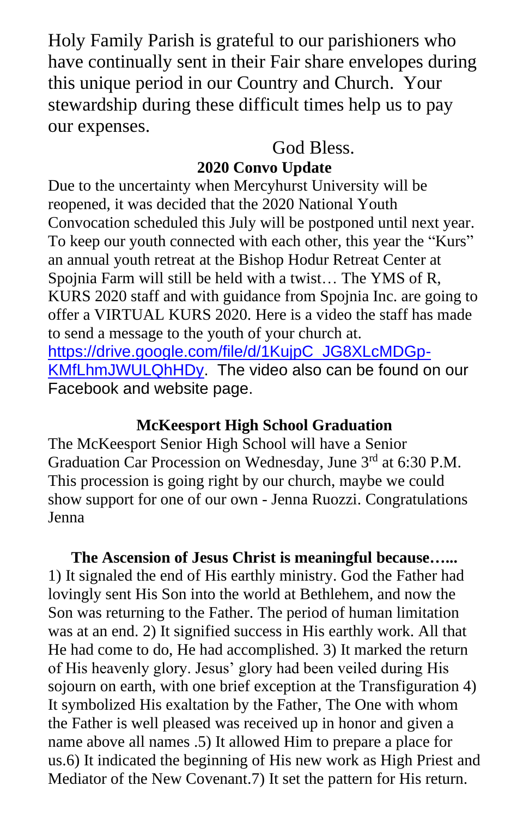Holy Family Parish is grateful to our parishioners who have continually sent in their Fair share envelopes during this unique period in our Country and Church. Your stewardship during these difficult times help us to pay our expenses.

God Bless.

### **2020 Convo Update**

Due to the uncertainty when Mercyhurst University will be reopened, it was decided that the 2020 National Youth Convocation scheduled this July will be postponed until next year. To keep our youth connected with each other, this year the "Kurs" an annual youth retreat at the Bishop Hodur Retreat Center at Spojnia Farm will still be held with a twist… The YMS of R, KURS 2020 staff and with guidance from Spojnia Inc. are going to offer a VIRTUAL KURS 2020. Here is a video the staff has made to send a message to the youth of your church at. [https://drive.google.com/file/d/1KujpC\\_JG8XLcMDGp-](https://drive.google.com/file/d/1KujpC_JG8XLcMDGp-KMfLhmJWULQhHDy)[KMfLhmJWULQhHDy.](https://drive.google.com/file/d/1KujpC_JG8XLcMDGp-KMfLhmJWULQhHDy) The video also can be found on our Facebook and website page.

### **McKeesport High School Graduation**

The McKeesport Senior High School will have a Senior Graduation Car Procession on Wednesday, June 3<sup>rd</sup> at 6:30 P.M. This procession is going right by our church, maybe we could show support for one of our own - Jenna Ruozzi. Congratulations Jenna

**The Ascension of Jesus Christ is meaningful because…...** 1) It signaled the end of His earthly ministry. God the Father had lovingly sent His Son into the world at Bethlehem, and now the Son was returning to the Father. The period of human limitation was at an end. 2) It signified success in His earthly work. All that He had come to do, He had accomplished. 3) It marked the return of His heavenly glory. Jesus' glory had been veiled during His sojourn on earth, with one brief exception at the Transfiguration 4) It symbolized His exaltation by the Father, The One with whom the Father is well pleased was received up in honor and given a name above all names .5) It allowed Him to prepare a place for us.6) It indicated the beginning of His new work as High Priest and Mediator of the New Covenant.7) It set the pattern for His return.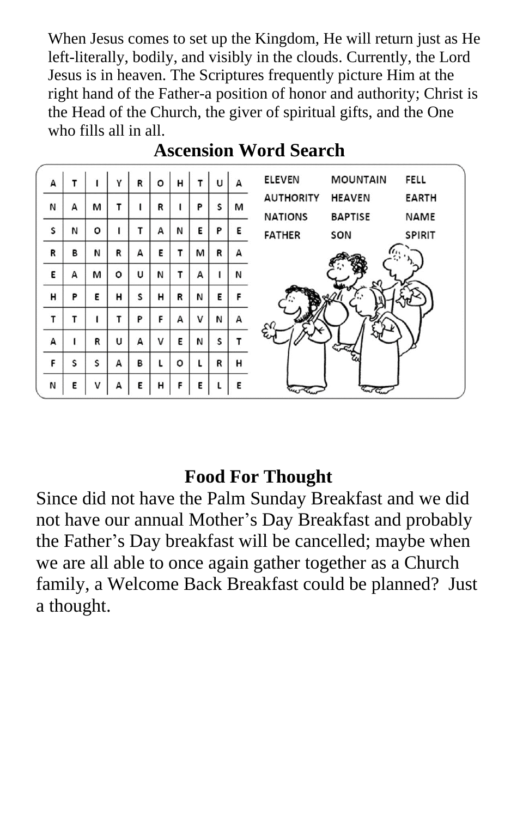When Jesus comes to set up the Kingdom, He will return just as He left-literally, bodily, and visibly in the clouds. Currently, the Lord Jesus is in heaven. The Scriptures frequently picture Him at the right hand of the Father-a position of honor and authority; Christ is the Head of the Church, the giver of spiritual gifts, and the One who fills all in all.



## **Ascension Word Search**

### **Food For Thought**

Since did not have the Palm Sunday Breakfast and we did not have our annual Mother's Day Breakfast and probably the Father's Day breakfast will be cancelled; maybe when we are all able to once again gather together as a Church family, a Welcome Back Breakfast could be planned? Just a thought.